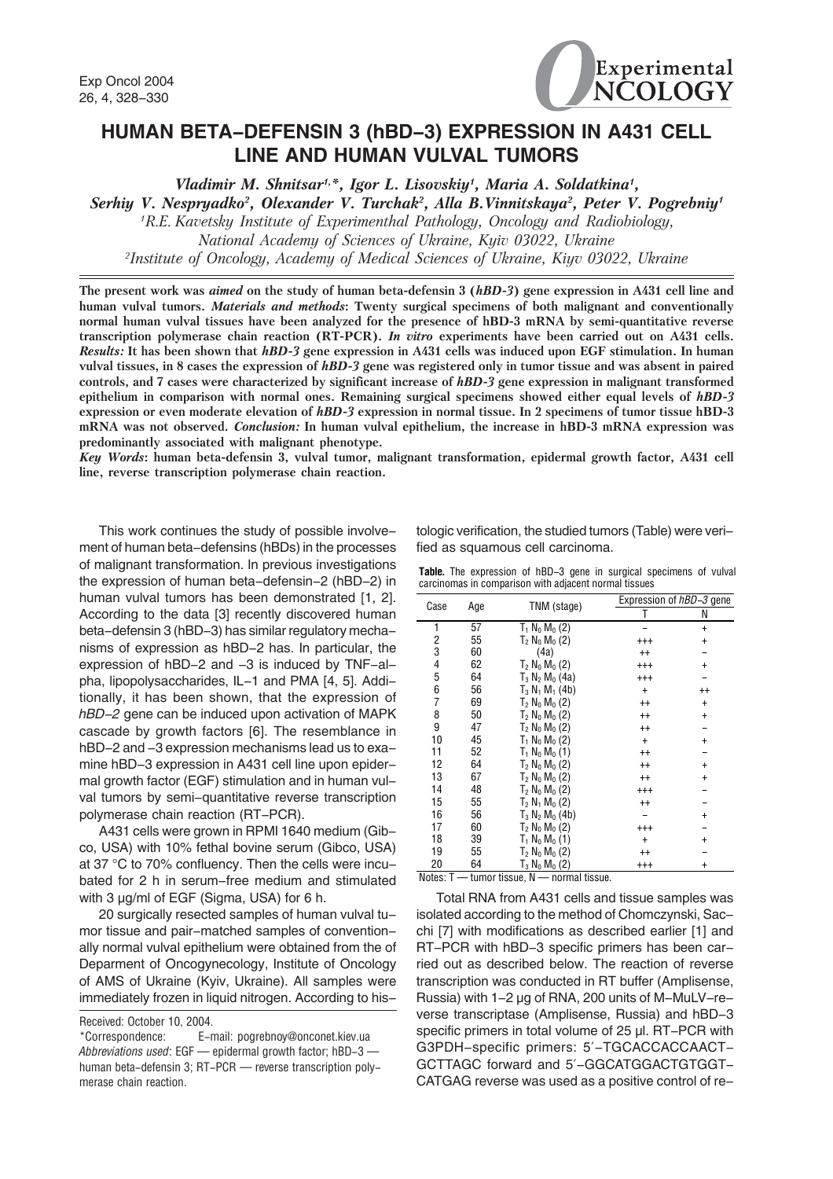

## **HUMAN BETA-DEFENSIN 3 (hBD-3) EXPRESSION IN A431 CELL LINE AND HUMAN VULVAL TUMORS**

Vladimir M. Shnitsar<sup>1,\*</sup>, Igor L. Lisovskiy<sup>1</sup>, Maria A. Soldatkina<sup>1</sup>,

Serhiy V. Nespryadko<sup>2</sup>, Olexander V. Turchak<sup>2</sup>, Alla B.Vinnitskaya<sup>2</sup>, Peter V. Pogrebniy<sup>1</sup>

1 R.E. Kavetsky Institute of Experimenthal Pathology, Oncology and Radiobiology, National Academy of Sciences of Ukraine, Kyiv 03022, Ukraine 2 Institute of Oncology, Academy of Medical Sciences of Ukraine, Kiyv 03022, Ukraine

The present work was aimed on the study of human beta-defensin 3 (hBD-3) gene expression in A431 cell line and human vulval tumors. *Materials and methods*: Twenty surgical specimens of both malignant and conventionally normal human vulval tissues have been analyzed for the presence of hBD-3 mRNA by semi-quantitative reverse transcription polymerase chain reaction (RT-PCR). In vitro experiments have been carried out on A431 cells. Results: It has been shown that hBD-3 gene expression in A431 cells was induced upon EGF stimulation. In human vulval tissues, in 8 cases the expression of hBD-3 gene was registered only in tumor tissue and was absent in paired controls, and 7 cases were characterized by significant increase of hBD-3 gene expression in malignant transformed epithelium in comparison with normal ones. Remaining surgical specimens showed either equal levels of hBD-3 expression or even moderate elevation of hBD-3 expression in normal tissue. In 2 specimens of tumor tissue hBD-3 mRNA was not observed. Conclusion: In human vulval epithelium, the increase in hBD-3 mRNA expression was predominantly associated with malignant phenotype.

Key Words: human beta-defensin 3, vulval tumor, malignant transformation, epidermal growth factor, A431 cell line, reverse transcription polymerase chain reaction.

This work continues the study of possible involvement of human beta-defensins (hBDs) in the processes of malignant transformation. In previous investigations the expression of human beta-defensin-2 (hBD-2) in human vulval tumors has been demonstrated [1, 2]. According to the data [3] recently discovered human beta-defensin 3 (hBD-3) has similar regulatory mechanisms of expression as hBD-2 has. In particular, the expression of hBD-2 and -3 is induced by TNF-alpha, lipopolysaccharides, IL-1 and PMA [4, 5]. Additionally, it has been shown, that the expression of *hBD-2* gene can be induced upon activation of MAPK cascade by growth factors [6]. The resemblance in hBD-2 and -3 expression mechanisms lead us to examine hBD-3 expression in A431 cell line upon epidermal growth factor (EGF) stimulation and in human vulval tumors by semi-quantitative reverse transcription polymerase chain reaction (RT-PCR).

A431 cells were grown in RPMI 1640 medium (Gibco, USA) with 10% fethal bovine serum (Gibco, USA) at 37 °C to 70% confluency. Then the cells were incubated for 2 h in serum-free medium and stimulated with 3 µg/ml of EGF (Sigma, USA) for 6 h.

20 surgically resected samples of human vulval tumor tissue and pair-matched samples of conventionally normal vulval epithelium were obtained from the of Deparment of Oncogynecology, Institute of Oncology of AMS of Ukraine (Kyiv, Ukraine). All samples were immediately frozen in liquid nitrogen. According to his-

Received: October 10, 2004.

\*Correspondence: E-mail: pogrebnoy@onconet.kiev.ua *Abbreviations used*: EGF — epidermal growth factor; hBD-3 human beta-defensin 3; RT-PCR — reverse transcription polymerase chain reaction.

tologic verification, the studied tumors (Table) were verified as squamous cell carcinoma.

|  |  |  |                                                       | <b>Table.</b> The expression of hBD-3 gene in surgical specimens of vulval |  |
|--|--|--|-------------------------------------------------------|----------------------------------------------------------------------------|--|
|  |  |  | carcinomas in comparison with adiacent normal tissues |                                                                            |  |

| Case | Age | TNM (stage)                             |           | Expression of hBD-3 gene |  |  |
|------|-----|-----------------------------------------|-----------|--------------------------|--|--|
|      |     |                                         |           | Ν                        |  |  |
| 1    | 57  | $T_1 N_0 M_0 (2)$                       |           | $\ddot{}$                |  |  |
| 2    | 55  | $T_2$ N <sub>0</sub> M <sub>0</sub> (2) | $^{++}$   | $\pmb{+}$                |  |  |
| 3    | 60  | (4a)                                    | $^{++}$   |                          |  |  |
| 4    | 62  | $T_2$ N <sub>0</sub> M <sub>0</sub> (2) | $^{+++}$  | $\ddot{}$                |  |  |
| 5    | 64  | $T_3 N_2 M_0 (4a)$                      | $^{++}$   |                          |  |  |
| 6    | 56  | $T_3 N_1 M_1 (4b)$                      | $\ddot{}$ | $^{++}$                  |  |  |
| 7    | 69  | $T_2 N_0 M_0 (2)$                       | $^{++}$   | $\ddot{}$                |  |  |
| 8    | 50  | $T_2 N_0 M_0 (2)$                       | $^{++}$   | $\ddot{}$                |  |  |
| 9    | 47  | $T_2$ N <sub>0</sub> M <sub>0</sub> (2) | $^{++}$   |                          |  |  |
| 10   | 45  | $T_1$ N <sub>0</sub> M <sub>0</sub> (2) | $\ddot{}$ | $\pmb{+}$                |  |  |
| 11   | 52  | $T_1 N_0 M_0 (1)$                       | $^{++}$   |                          |  |  |
| 12   | 64  | $T_2 N_0 M_0 (2)$                       | $^{++}$   | $\pmb{+}$                |  |  |
| 13   | 67  | $T_2$ N <sub>0</sub> M <sub>0</sub> (2) | $^{++}$   | $^\mathrm{+}$            |  |  |
| 14   | 48  | $T_2 N_0 M_0 (2)$                       | $^{+++}$  |                          |  |  |
| 15   | 55  | $T_2 N_1 M_0 (2)$                       | $^{++}$   |                          |  |  |
| 16   | 56  | $T_3 N_2 M_0 (4b)$                      |           | $^\mathrm{+}$            |  |  |
| 17   | 60  | $T_2$ N <sub>0</sub> M <sub>0</sub> (2) | $^{++}$   |                          |  |  |
| 18   | 39  | $T_1 N_0 M_0 (1)$                       | $\ddot{}$ | +                        |  |  |
| 19   | 55  | $T_2 N_0 M_0 (2)$                       | $^{++}$   |                          |  |  |
| 20   | 64  | $T_3 N_0 M_0 (2)$                       | $^{+++}$  |                          |  |  |

Notes: T — tumor tissue, N — normal tissue.

Total RNA from A431 cells and tissue samples was isolated according to the method of Chomczynski, Sacchi [7] with modifications as described earlier [1] and RT-PCR with hBD-3 specific primers has been carried out as described below. The reaction of reverse transcription was conducted in RT buffer (Amplisense, Russia) with 1-2 µg of RNA, 200 units of M-MuLV-reverse transcriptase (Amplisense, Russia) and hBD-3 specific primers in total volume of 25 µl. RT-PCR with G3PDH-specific primers: 5′-TGCACCACCAACT-GCTTAGC forward and 5′-GGCATGGACTGTGGT-CATGAG reverse was used as a positive control of re-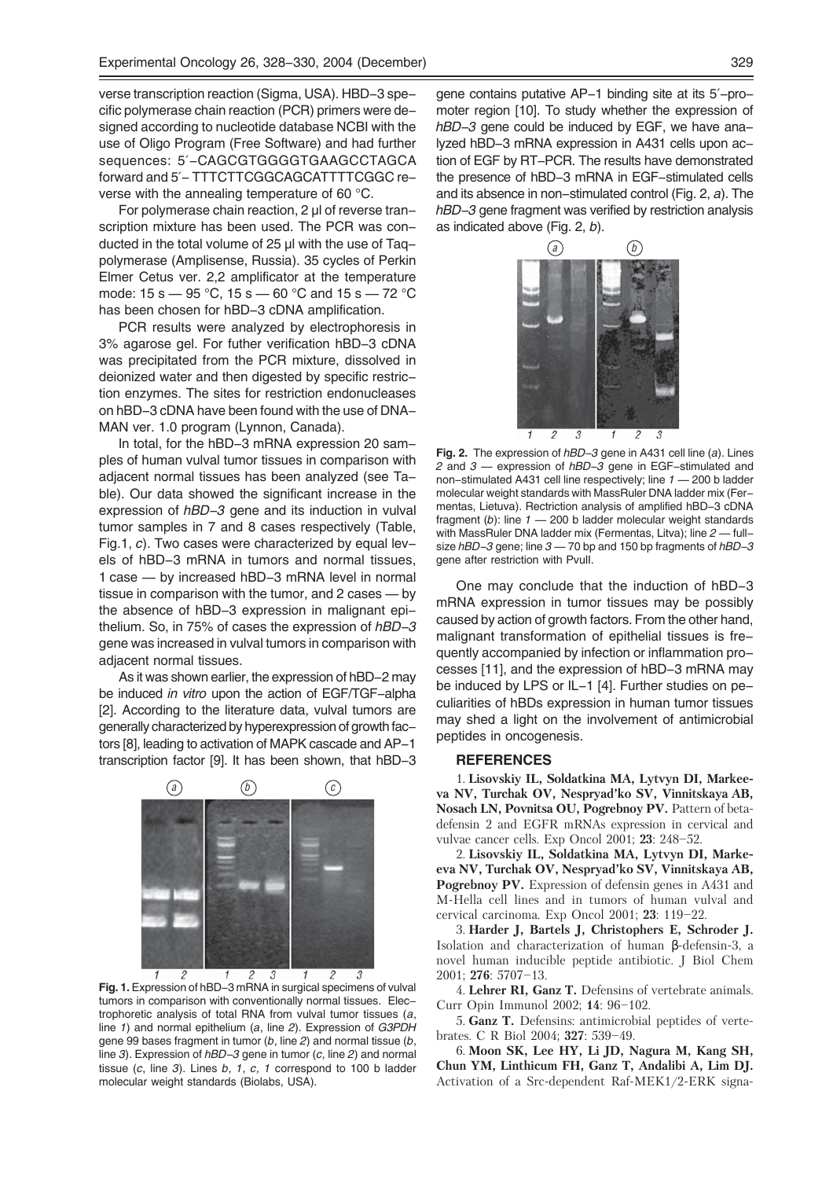verse transcription reaction (Sigma, USA). HBD-3 specific polymerase chain reaction (PCR) primers were designed according to nucleotide database NCBI with the use of Oligo Program (Free Software) and had further sequences: 5′-CAGCGTGGGGTGAAGCCTAGCA forward and 5′- TTTCTTCGGCAGCATTTTCGGC reverse with the annealing temperature of 60 °C.

For polymerase chain reaction, 2 µl of reverse transcription mixture has been used. The PCR was conducted in the total volume of 25 µl with the use of Taqpolymerase (Amplisense, Russia). 35 cycles of Perkin Elmer Cetus ver. 2,2 amplificator at the temperature mode:  $15 s - 95 °C$ ,  $15 s - 60 °C$  and  $15 s - 72 °C$ has been chosen for hBD-3 cDNA amplification.

PCR results were analyzed by electrophoresis in 3% agarose gel. For futher verification hBD-3 cDNA was precipitated from the PCR mixture, dissolved in deionized water and then digested by specific restriction enzymes. The sites for restriction endonucleases on hBD-3 cDNA have been found with the use of DNA-MAN ver. 1.0 program (Lynnon, Canada).

In total, for the hBD-3 mRNA expression 20 samples of human vulval tumor tissues in comparison with adjacent normal tissues has been analyzed (see Table). Our data showed the significant increase in the expression of *hBD-3* gene and its induction in vulval tumor samples in 7 and 8 cases respectively (Table, Fig.1, *c*). Two cases were characterized by equal levels of hBD-3 mRNA in tumors and normal tissues, 1 case — by increased hBD-3 mRNA level in normal tissue in comparison with the tumor, and 2 cases — by the absence of hBD-3 expression in malignant epithelium. So, in 75% of cases the expression of *hBD-3* gene was increased in vulval tumors in comparison with adjacent normal tissues.

As it was shown earlier, the expression of hBD-2 may be induced *in vitro* upon the action of EGF/TGF-alpha [2]. According to the literature data, vulval tumors are generally characterized by hyperexpression of growth factors [8], leading to activation of MAPK cascade and AP-1 transcription factor [9]. It has been shown, that hBD-3



**Fig. 1.** Expression of hBD-3 mRNA in surgical specimens of vulval tumors in comparison with conventionally normal tissues. Electrophoretic analysis of total RNA from vulval tumor tissues (*a*, line *1*) and normal epithelium (*a*, line *2*). Expression of *G3PDH* gene 99 bases fragment in tumor (*b*, line *2*) and normal tissue (*b*, line *3*). Expression of *hBD-3* gene in tumor (*c,* line *2*) and normal tissue (*c*, line *3*). Lines *b*, *1*, *c, 1* correspond to 100 b ladder molecular weight standards (Biolabs, USA).

gene contains putative AP-1 binding site at its 5′-promoter region [10]. To study whether the expression of *hBD-3* gene could be induced by EGF, we have analyzed hBD-3 mRNA expression in A431 cells upon action of EGF by RT-PCR. The results have demonstrated the presence of hBD-3 mRNA in EGF-stimulated cells and its absence in non-stimulated control (Fig. 2, *a*). The *hBD-3* gene fragment was verified by restriction analysis as indicated above (Fig. 2, *b*).



**Fig. 2.** The expression of *hBD-3* gene in A431 cell line (*a*). Lines *2* and *3* — expression of *hBD-3* gene in EGF-stimulated and non-stimulated A431 cell line respectively; line *1* — 200 b ladder molecular weight standards with MassRuler DNA ladder mix (Fermentas, Lietuva). Rectriction analysis of amplified hBD-3 cDNA fragment (*b*): line *1* — 200 b ladder molecular weight standards with MassRuler DNA ladder mix (Fermentas, Litva); line *2* — fullsize *hBD-3* gene; line *3* — 70 bp and 150 bp fragments of *hBD-3* gene after restriction with PvuII.

One may conclude that the induction of hBD-3 mRNA expression in tumor tissues may be possibly caused by action of growth factors. From the other hand, malignant transformation of epithelial tissues is frequently accompanied by infection or inflammation processes [11], and the expression of hBD-3 mRNA may be induced by LPS or IL-1 [4]. Further studies on peculiarities of hBDs expression in human tumor tissues may shed a light on the involvement of antimicrobial peptides in oncogenesis.

## **REFERENCES**

1. Lisovskiy IL, Soldatkina MA, Lytvyn DI, Markeeva NV, Turchak OV, Nespryad'ko SV, Vinnitskaya AB, Nosach LN, Povnitsa OU, Pogrebnoy PV. Pattern of betadefensin 2 and EGFR mRNAs expression in cervical and vulvae cancer cells. Exp Oncol 2001; 23: 248–52.

2. Lisovskiy IL, Soldatkina MA, Lytvyn DI, Markeeva NV, Turchak OV, Nespryad'ko SV, Vinnitskaya AB, Pogrebnoy PV. Expression of defensin genes in A431 and M-Hella cell lines and in tumors of human vulval and cervical carcinoma. Exp Oncol 2001; 23: 119–22.

3. Harder J, Bartels J, Christophers E, Schroder J. Isolation and characterization of human β-defensin-3, a novel human inducible peptide antibiotic. J Biol Chem 2001; 276: 5707–13.

4. Lehrer RI, Ganz T. Defensins of vertebrate animals. Curr Opin Immunol 2002; 14: 96–102.

5. Ganz T. Defensins: antimicrobial peptides of vertebrates. C R Biol 2004; 327: 539–49.

6. Moon SK, Lee HY, Li JD, Nagura M, Kang SH, Chun YM, Linthicum FH, Ganz T, Andalibi A, Lim DJ. Activation of a Src-dependent Raf-MEK1/2-ERK signa